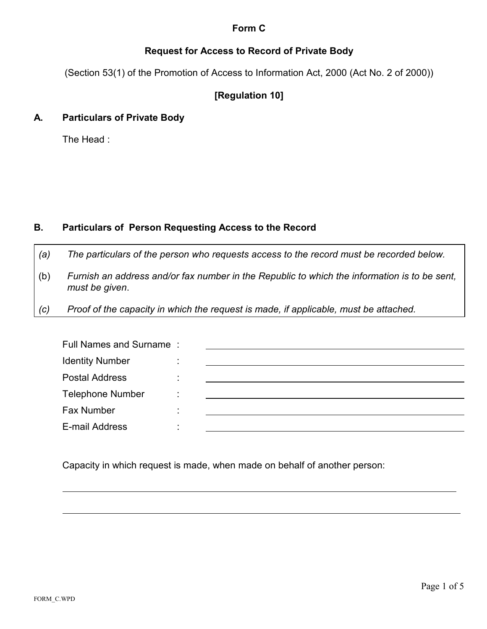## **Form C**

# **Request for Access to Record of Private Body**

(Section 53(1) of the Promotion of Access to Information Act, 2000 (Act No. 2 of 2000))

# **[Regulation 10]**

## **A. Particulars of Private Body**

The Head :

## **B. Particulars of Person Requesting Access to the Record**

- *(a) The particulars of the person who requests access to the record must be recorded below.*
- (b) *Furnish an address and/or fax number in the Republic to which the information is to be sent, must be given*.
- *(c) Proof of the capacity in which the request is made, if applicable, must be attached.*

| Full Names and Surname: |                |  |
|-------------------------|----------------|--|
| <b>Identity Number</b>  |                |  |
| <b>Postal Address</b>   |                |  |
| <b>Telephone Number</b> | $\blacksquare$ |  |
| Fax Number              |                |  |
| E-mail Address          |                |  |

Capacity in which request is made, when made on behalf of another person:

 $\overline{a}$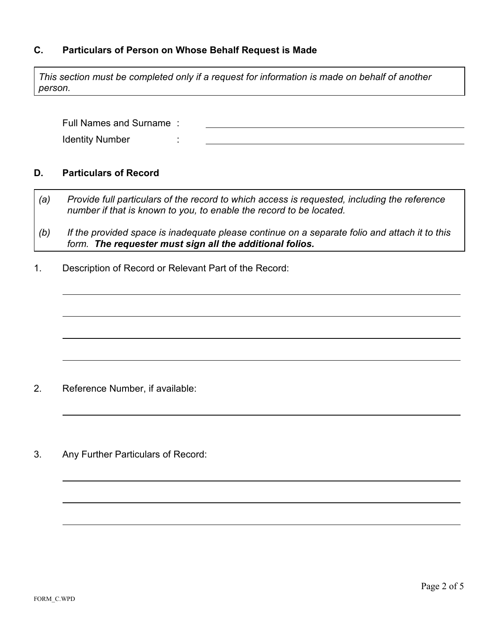### **C. Particulars of Person on Whose Behalf Request is Made**

*This section must be completed only if a request for information is made on behalf of another person.*

Full Names and Surname : Identity Number :

#### **D. Particulars of Record**

 $\overline{a}$ 

 $\overline{a}$ 

 $\overline{a}$ 

 $\overline{a}$ 

- *(a) Provide full particulars of the record to which access is requested, including the reference number if that is known to you, to enable the record to be located.*
- *(b) If the provided space is inadequate please continue on a separate folio and attach it to this form. The requester must sign all the additional folios.*
- 1. Description of Record or Relevant Part of the Record:

- 2. Reference Number, if available:
- 3. Any Further Particulars of Record:

 $\overline{a}$ 

 $\overline{a}$ 

 $\overline{a}$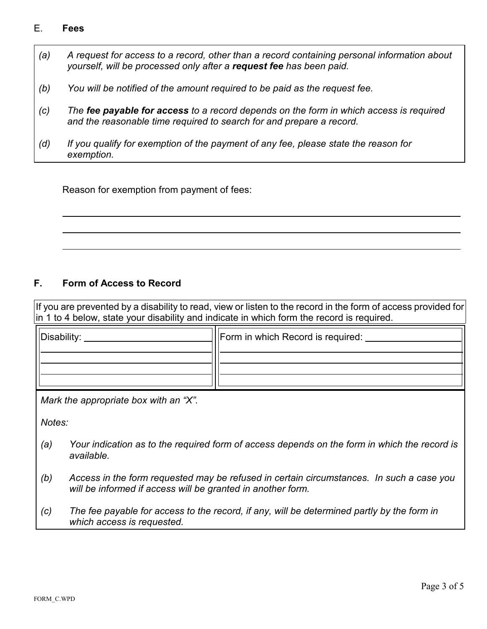### E. **Fees**

 $\overline{a}$ 

- *(a) A request for access to a record, other than a record containing personal information about yourself, will be processed only after a request fee has been paid.*
- *(b) You will be notified of the amount required to be paid as the request fee.*
- *(c) The fee payable for access to a record depends on the form in which access is required and the reasonable time required to search for and prepare a record.*
- *(d) If you qualify for exemption of the payment of any fee, please state the reason for exemption.*

Reason for exemption from payment of fees:

### **F. Form of Access to Record**

If you are prevented by a disability to read, view or listen to the record in the form of access provided for in 1 to 4 below, state your disability and indicate in which form the record is required.

| Disability: | Secord is required: I remain in which Record is required: |
|-------------|-----------------------------------------------------------|
|             |                                                           |
|             |                                                           |

*Mark the appropriate box with an "X".*

*Notes:*

- *(a) Your indication as to the required form of access depends on the form in which the record is available.*
- *(b) Access in the form requested may be refused in certain circumstances. In such a case you will be informed if access will be granted in another form.*
- *(c) The fee payable for access to the record, if any, will be determined partly by the form in which access is requested.*

 $\overline{a}$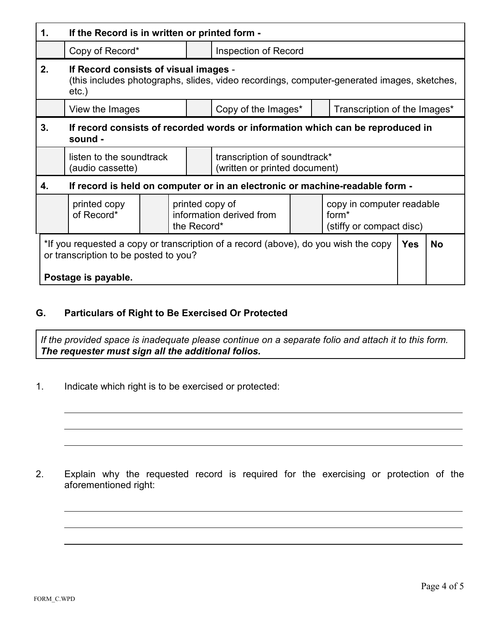| 1.                                                                                                                                                  | If the Record is in written or printed form -                                                                                                   |  |                                                            |                                                               |  |                                                                            |           |  |  |  |  |
|-----------------------------------------------------------------------------------------------------------------------------------------------------|-------------------------------------------------------------------------------------------------------------------------------------------------|--|------------------------------------------------------------|---------------------------------------------------------------|--|----------------------------------------------------------------------------|-----------|--|--|--|--|
|                                                                                                                                                     | Copy of Record*                                                                                                                                 |  |                                                            | <b>Inspection of Record</b>                                   |  |                                                                            |           |  |  |  |  |
| 2.                                                                                                                                                  | If Record consists of visual images -<br>(this includes photographs, slides, video recordings, computer-generated images, sketches,<br>$etc.$ ) |  |                                                            |                                                               |  |                                                                            |           |  |  |  |  |
|                                                                                                                                                     | View the Images                                                                                                                                 |  |                                                            | Copy of the Images*<br>Transcription of the Images*           |  |                                                                            |           |  |  |  |  |
| 3.                                                                                                                                                  | If record consists of recorded words or information which can be reproduced in<br>sound -                                                       |  |                                                            |                                                               |  |                                                                            |           |  |  |  |  |
|                                                                                                                                                     | listen to the soundtrack<br>(audio cassette)                                                                                                    |  |                                                            | transcription of soundtrack*<br>(written or printed document) |  |                                                                            |           |  |  |  |  |
| 4.                                                                                                                                                  | If record is held on computer or in an electronic or machine-readable form -                                                                    |  |                                                            |                                                               |  |                                                                            |           |  |  |  |  |
|                                                                                                                                                     | printed copy<br>of Record*                                                                                                                      |  | printed copy of<br>information derived from<br>the Record* |                                                               |  | copy in computer readable<br>form <sup>*</sup><br>(stiffy or compact disc) |           |  |  |  |  |
| *If you requested a copy or transcription of a record (above), do you wish the copy<br>or transcription to be posted to you?<br>Postage is payable. |                                                                                                                                                 |  |                                                            |                                                               |  | <b>Yes</b>                                                                 | <b>No</b> |  |  |  |  |

# **G. Particulars of Right to Be Exercised Or Protected**

*If the provided space is inadequate please continue on a separate folio and attach it to this form. The requester must sign all the additional folios.*

1. Indicate which right is to be exercised or protected:

2. Explain why the requested record is required for the exercising or protection of the aforementioned right:

 $\overline{a}$ 

 $\overline{a}$ 

 $\overline{a}$ 

 $\overline{a}$ 

 $\overline{a}$